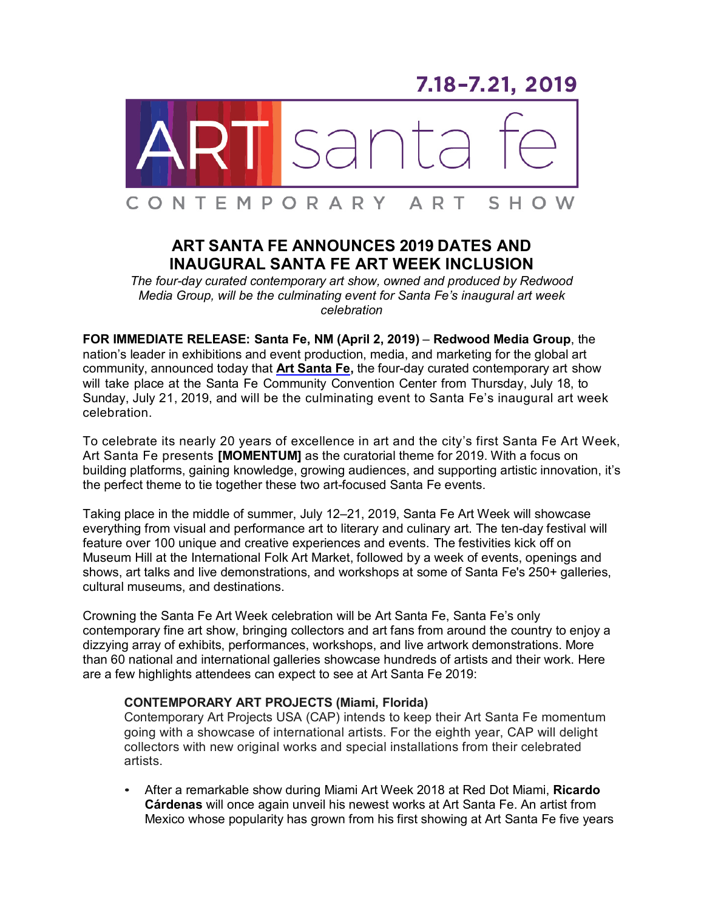7.18-7.21, 2019



# **ART SANTA FE ANNOUNCES 2019 DATES AND INAUGURAL SANTA FE ART WEEK INCLUSION**

*The four-day curated contemporary art show, owned and produced by Redwood Media Group, will be the culminating event for Santa Fe's inaugural art week celebration*

**FOR IMMEDIATE RELEASE: Santa Fe, NM (April 2, 2019)** – **Redwood Media Group**, the nation's leader in exhibitions and event production, media, and marketing for the global art community, announced today that **Art [Santa](http://www.artsantafe.com/) Fe,** the four-day curated contemporary art show will take place at the Santa Fe Community Convention Center from Thursday, July 18, to Sunday, July 21, 2019, and will be the culminating event to Santa Fe's inaugural art week celebration.

To celebrate its nearly 20 years of excellence in art and the city's first Santa Fe Art Week, Art Santa Fe presents **[MOMENTUM]** as the curatorial theme for 2019. With a focus on building platforms, gaining knowledge, growing audiences, and supporting artistic innovation, it's the perfect theme to tie together these two art-focused Santa Fe events.

Taking place in the middle of summer, July 12–21, 2019, Santa Fe Art Week will showcase everything from visual and performance art to literary and culinary art. The ten-day festival will feature over 100 unique and creative experiences and events. The festivities kick off on Museum Hill at the International Folk Art Market, followed by a week of events, openings and shows, art talks and live demonstrations, and workshops at some of Santa Fe's 250+ galleries, cultural museums, and destinations.

Crowning the Santa Fe Art Week celebration will be Art Santa Fe, Santa Fe's only contemporary fine art show, bringing collectors and art fans from around the country to enjoy a dizzying array of exhibits, performances, workshops, and live artwork demonstrations. More than 60 national and international galleries showcase hundreds of artists and their work. Here are a few highlights attendees can expect to see at Art Santa Fe 2019:

# **CONTEMPORARY ART PROJECTS (Miami, Florida)**

Contemporary Art Projects USA (CAP) intends to keep their Art Santa Fe momentum going with a showcase of international artists. For the eighth year, CAP will delight collectors with new original works and special installations from their celebrated artists.

• After a remarkable show during Miami Art Week 2018 at Red Dot Miami, **Ricardo Cárdenas** will once again unveil his newest works at Art Santa Fe. An artist from Mexico whose popularity has grown from his first showing at Art Santa Fe five years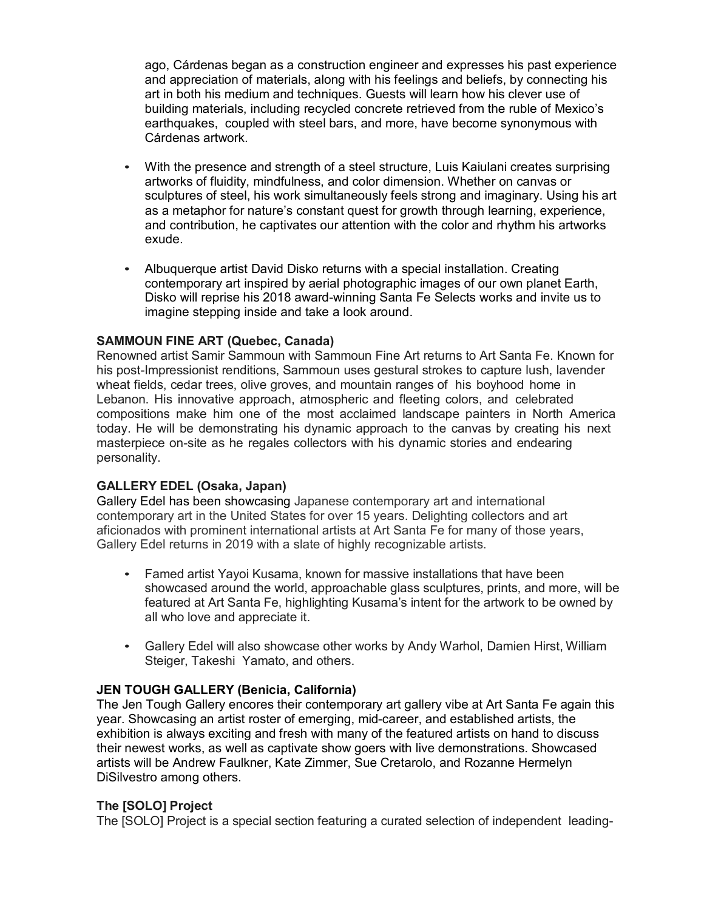ago, Cárdenas began as a construction engineer and expresses his past experience and appreciation of materials, along with his feelings and beliefs, by connecting his art in both his medium and techniques. Guests will learn how his clever use of building materials, including recycled concrete retrieved from the ruble of Mexico's earthquakes, coupled with steel bars, and more, have become synonymous with Cárdenas artwork.

- With the presence and strength of a steel structure, Luis Kaiulani creates surprising artworks of fluidity, mindfulness, and color dimension. Whether on canvas or sculptures of steel, his work simultaneously feels strong and imaginary. Using his art as a metaphor for nature's constant quest for growth through learning, experience, and contribution, he captivates our attention with the color and rhythm his artworks exude.
- Albuquerque artist David Disko returns with a special installation. Creating contemporary art inspired by aerial photographic images of our own planet Earth, Disko will reprise his 2018 award-winning Santa Fe Selects works and invite us to imagine stepping inside and take a look around.

# **SAMMOUN FINE ART (Quebec, Canada)**

Renowned artist Samir Sammoun with Sammoun Fine Art returns to Art Santa Fe. Known for his post-Impressionist renditions, Sammoun uses gestural strokes to capture lush, lavender wheat fields, cedar trees, olive groves, and mountain ranges of his boyhood home in Lebanon. His innovative approach, atmospheric and fleeting colors, and celebrated compositions make him one of the most acclaimed landscape painters in North America today. He will be demonstrating his dynamic approach to the canvas by creating his next masterpiece on-site as he regales collectors with his dynamic stories and endearing personality.

# **GALLERY EDEL (Osaka, Japan)**

Gallery Edel has been showcasing Japanese contemporary art and international contemporary art in the United States for over 15 years. Delighting collectors and art aficionados with prominent international artists at Art Santa Fe for many of those years, Gallery Edel returns in 2019 with a slate of highly recognizable artists.

- Famed artist Yayoi Kusama, known for massive installations that have been showcased around the world, approachable glass sculptures, prints, and more, will be featured at Art Santa Fe, highlighting Kusama's intent for the artwork to be owned by all who love and appreciate it.
- Gallery Edel will also showcase other works by Andy Warhol, Damien Hirst, William Steiger, Takeshi Yamato, and others.

# **JEN TOUGH GALLERY (Benicia, California)**

The Jen Tough Gallery encores their contemporary art gallery vibe at Art Santa Fe again this year. Showcasing an artist roster of emerging, mid-career, and established artists, the exhibition is always exciting and fresh with many of the featured artists on hand to discuss their newest works, as well as captivate show goers with live demonstrations. Showcased artists will be Andrew Faulkner, Kate Zimmer, Sue Cretarolo, and Rozanne Hermelyn DiSilvestro among others.

# **The [SOLO] Project**

The [SOLO] Project is a special section featuring a curated selection of independent leading-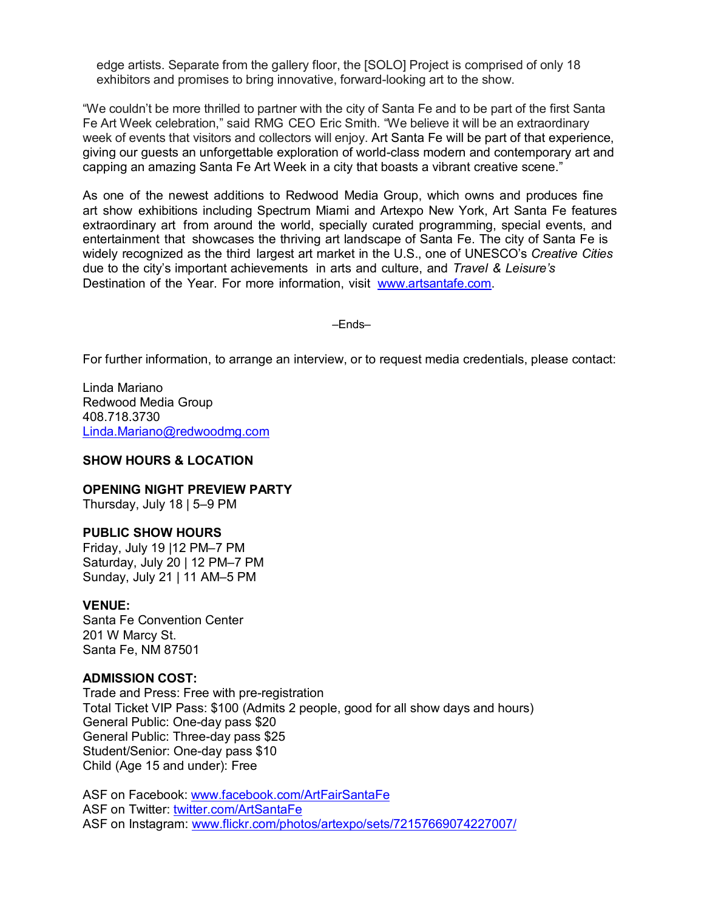edge artists. Separate from the gallery floor, the [SOLO] Project is comprised of only 18 exhibitors and promises to bring innovative, forward-looking art to the show.

"We couldn't be more thrilled to partner with the city of Santa Fe and to be part of the first Santa Fe Art Week celebration," said RMG CEO Eric Smith. "We believe it will be an extraordinary week of events that visitors and collectors will enjoy. Art Santa Fe will be part of that experience, giving our guests an unforgettable exploration of world-class modern and contemporary art and capping an amazing Santa Fe Art Week in a city that boasts a vibrant creative scene."

As one of the newest additions to Redwood Media Group, which owns and produces fine art show exhibitions including Spectrum Miami and Artexpo New York, Art Santa Fe features extraordinary art from around the world, specially curated programming, special events, and entertainment that showcases the thriving art landscape of Santa Fe. The city of Santa Fe is widely recognized as the third largest art market in the U.S., one of UNESCO's *Creative Cities* due to the city's important achievements in arts and culture, and *Travel & Leisure's* Destination of the Year. For more information, visit [www.artsantafe.com.](http://www.artsantafe.com/)

–Ends–

For further information, to arrange an interview, or to request media credentials, please contact:

Linda Mariano Redwood Media Group 408.718.3730 [Linda.Mariano@redwoodmg.com](mailto:Linda.Mariano@redwoodmg.com)

### **SHOW HOURS & LOCATION**

### **OPENING NIGHT PREVIEW PARTY**

Thursday, July 18 | 5–9 PM

#### **PUBLIC SHOW HOURS**

Friday, July 19 |12 PM–7 PM Saturday, July 20 | 12 PM-7 PM Sunday, July 21 | 11 AM–5 PM

#### **VENUE:**

Santa Fe Convention Center 201 W Marcy St. Santa Fe, NM 87501

### **ADMISSION COST:**

Trade and Press: Free with pre-registration Total Ticket VIP Pass: \$100 (Admits 2 people, good for all show days and hours) General Public: One-day pass \$20 General Public: Three-day pass \$25 Student/Senior: One-day pass \$10 Child (Age 15 and under): Free

ASF on Facebook: [www.facebook.com/ArtFairSantaFe](http://www.facebook.com/ArtFairSantaFe) ASF on Twitter: [twitter.com/ArtSantaFe](https://twitter.com/ArtSantaFe) ASF on Instagram: [www.flickr.com/photos/artexpo/sets/72157669074227007/](http://www.flickr.com/photos/artexpo/sets/72157669074227007/)